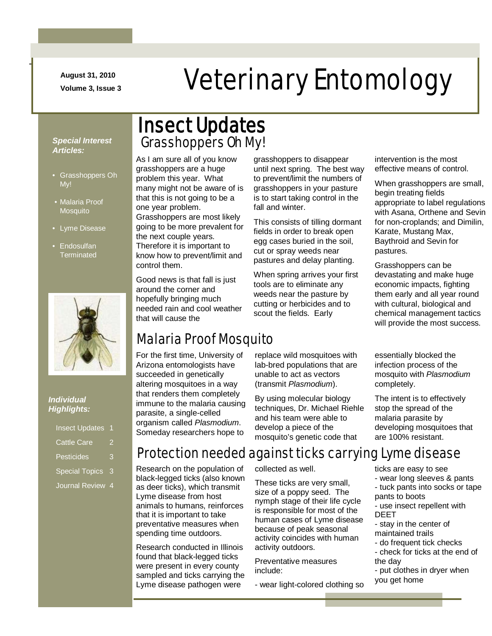**August 31, 2010**

-

# August 31, 2010<br>Veterinary Entomology

#### *Special Interest Articles:*

- Grasshoppers Oh My!
- Malaria Proof Mosquito
- Lyme Disease
- Endosulfan **Terminated**



#### *Individual Highlights:*

| <b>Insect Updates</b> |    |
|-----------------------|----|
| <b>Cattle Care</b>    |    |
| <b>Pesticides</b>     | ė, |
| <b>Special Topics</b> | 3  |
| <b>Journal Review</b> | 4  |

### Grasshoppers Oh My! Insect Updates

As I am sure all of you know grasshoppers are a huge problem this year. What many might not be aware of is that this is not going to be a one year problem. Grasshoppers are most likely going to be more prevalent for the next couple years. Therefore it is important to know how to prevent/limit and control them.

Good news is that fall is just around the corner and hopefully bringing much needed rain and cool weather that will cause the

### Malaria Proof Mosquito

For the first time, University of Arizona entomologists have succeeded in genetically altering mosquitoes in a way that renders them completely immune to the malaria causing parasite, a single-celled organism called *Plasmodium*. Someday researchers hope to

Research on the population of black-legged ticks (also known as deer ticks), which transmit Lyme disease from host animals to humans, reinforces that it is important to take preventative measures when spending time outdoors.

Research conducted in Illinois found that black-legged ticks were present in every county sampled and ticks carrying the Lyme disease pathogen were

grasshoppers to disappear until next spring. The best way to prevent/limit the numbers of grasshoppers in your pasture is to start taking control in the fall and winter.

This consists of tilling dormant fields in order to break open egg cases buried in the soil, cut or spray weeds near pastures and delay planting.

When spring arrives your first tools are to eliminate any weeds near the pasture by cutting or herbicides and to scout the fields. Early

replace wild mosquitoes with lab-bred populations that are unable to act as vectors (transmit *Plasmodium*).

By using molecular biology techniques, Dr. Michael Riehle and his team were able to develop a piece of the mosquito's genetic code that

intervention is the most effective means of control.

When grasshoppers are small, begin treating fields appropriate to label regulations with Asana, Orthene and Sevin for non-croplands; and Dimilin, Karate, Mustang Max, Baythroid and Sevin for pastures.

Grasshoppers can be devastating and make huge economic impacts, fighting them early and all year round with cultural, biological and chemical management tactics will provide the most success.

essentially blocked the infection process of the mosquito with *Plasmodium* completely.

The intent is to effectively stop the spread of the malaria parasite by developing mosquitoes that are 100% resistant.

### Protection needed against ticks carrying Lyme disease

collected as well.

These ticks are very small, size of a poppy seed. The nymph stage of their life cycle is responsible for most of the human cases of Lyme disease because of peak seasonal activity coincides with human activity outdoors.

Preventative measures include:

- wear light-colored clothing so

ticks are easy to see

- wear long sleeves & pants
- tuck pants into socks or tape pants to boots
- use insect repellent with DEET
- stay in the center of maintained trails
- do frequent tick checks - check for ticks at the end of
- the day
- put clothes in dryer when you get home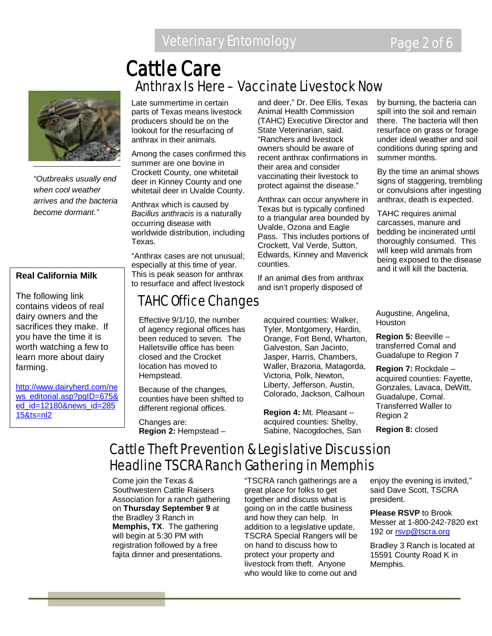*"Outbreaks usually end when cool weather arrives and the bacteria become dormant."*

#### **Real California Milk**

The following link contains videos of real dairy owners and the sacrifices they make. If you have the time it is worth watching a few to learn more about dairy farming.

[http://www.dairyherd.com/ne](http://www.dairyherd.com/news_editorial.asp?pgID=675&ed_id=12180&news_id=28515&ts=nl2) [ws\\_editorial.asp?pgID=675&](http://www.dairyherd.com/news_editorial.asp?pgID=675&ed_id=12180&news_id=28515&ts=nl2) [ed\\_id=12180&news\\_id=285](http://www.dairyherd.com/news_editorial.asp?pgID=675&ed_id=12180&news_id=28515&ts=nl2) [15&ts=nl2](http://www.dairyherd.com/news_editorial.asp?pgID=675&ed_id=12180&news_id=28515&ts=nl2)

### Late summertime in certain Anthrax Is Here – Vaccinate Livestock Now Cattle Care

parts of Texas means livestock producers should be on the lookout for the resurfacing of anthrax in their animals.

Among the cases confirmed this summer are one bovine in Crockett County, one whitetail deer in Kinney County and one whitetail deer in Uvalde County.

Anthrax which is caused by *Bacillus anthracis* is a naturally occurring disease with worldwide distribution, including Texas.

"Anthrax cases are not unusual; especially at this time of year. This is peak season for anthrax to resurface and affect livestock

### TAHC Office Changes

Effective 9/1/10, the number of agency regional offices has been reduced to seven. The Halletsville office has been closed and the Crocket location has moved to Hempstead.

Because of the changes, counties have been shifted to different regional offices.

Changes are: **Region 2:** Hempstead – and deer," Dr. Dee Ellis, Texas Animal Health Commission (TAHC) Executive Director and State Veterinarian, said. "Ranchers and livestock owners should be aware of recent anthrax confirmations in their area and consider vaccinating their livestock to protect against the disease."

Anthrax can occur anywhere in Texas but is typically confined to a triangular area bounded by Uvalde, Ozona and Eagle Pass. This includes portions of Crockett, Val Verde, Sutton, Edwards, Kinney and Maverick counties.

If an animal dies from anthrax and isn't properly disposed of

acquired counties: Walker, Tyler, Montgomery, Hardin, Orange, Fort Bend, Wharton, Galveston, San Jacinto, Jasper, Harris, Chambers, Waller, Brazoria, Matagorda, Victoria, Polk, Newton, Liberty, Jefferson, Austin, Colorado, Jackson, Calhoun

**Region 4:** Mt. Pleasant – acquired counties: Shelby, Sabine, Nacogdoches, San

by burning, the bacteria can spill into the soil and remain there. The bacteria will then resurface on grass or forage under ideal weather and soil conditions during spring and summer months.

By the time an animal shows signs of staggering, trembling or convulsions after ingesting anthrax, death is expected.

TAHC requires animal carcasses, manure and bedding be incinerated until thoroughly consumed. This will keep wild animals from being exposed to the disease and it will kill the bacteria.

Augustine, Angelina, **Houston** 

**Region 5:** Beeville – transferred Comal and Guadalupe to Region 7

**Region 7:** Rockdale – acquired counties: Fayette, Gonzales, Lavaca, DeWitt, Guadalupe, Comal. Transferred Waller to Region 2

**Region 8:** closed

### Cattle Theft Prevention & Legislative Discussion Headline TSCRA Ranch Gathering in Memphis

Come join the Texas & Southwestern Cattle Raisers Association for a ranch gathering on **Thursday September 9** at the Bradley 3 Ranch in **Memphis, TX**. The gathering will begin at 5:30 PM with registration followed by a free fajita dinner and presentations.

"TSCRA ranch gatherings are a great place for folks to get together and discuss what is going on in the cattle business and how they can help. In addition to a legislative update, TSCRA Special Rangers will be on hand to discuss how to protect your property and livestock from theft. Anyone who would like to come out and

enjoy the evening is invited," said Dave Scott, TSCRA president.

**Please RSVP** to Brook Messer at 1-800-242-7820 ext 192 or [rsvp@tscra.org](mailto:rsvp@tscra.org)

Bradley 3 Ranch is located at 15591 County Road K in Memphis.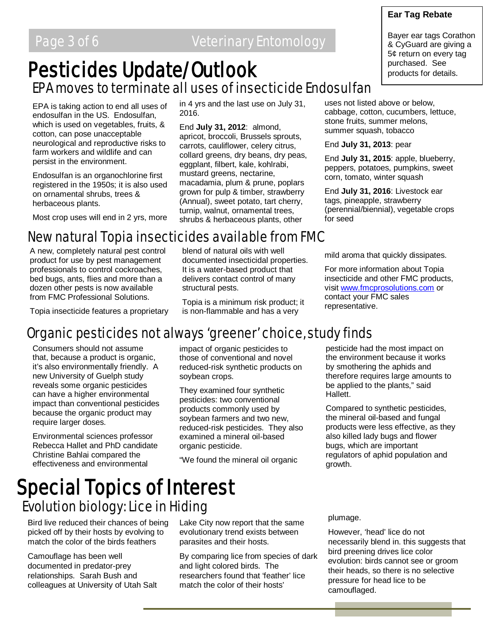## EPA moves to terminate all uses of insecticide Endosulfan Pesticides Update/Outlook

EPA is taking action to end all uses of endosulfan in the US. Endosulfan, which is used on vegetables, fruits, & cotton, can pose unacceptable neurological and reproductive risks to farm workers and wildlife and can persist in the environment.

Endosulfan is an organochlorine first registered in the 1950s; it is also used on ornamental shrubs, trees & herbaceous plants.

Most crop uses will end in 2 yrs, more

in 4 yrs and the last use on July 31, 2016.

End **July 31, 2012**: almond, apricot, broccoli, Brussels sprouts, carrots, cauliflower, celery citrus, collard greens, dry beans, dry peas, eggplant, filbert, kale, kohlrabi, mustard greens, nectarine, macadamia, plum & prune, poplars grown for pulp & timber, strawberry (Annual), sweet potato, tart cherry, turnip, walnut, ornamental trees, shrubs & herbaceous plants, other

uses not listed above or below, cabbage, cotton, cucumbers, lettuce, stone fruits, summer melons, summer squash, tobacco

End **July 31, 2013**: pear

End **July 31, 2015**: apple, blueberry, peppers, potatoes, pumpkins, sweet corn, tomato, winter squash

End **July 31, 2016**: Livestock ear tags, pineapple, strawberry (perennial/biennial), vegetable crops for seed

### New natural Topia insecticides available from FMC

A new, completely natural pest control product for use by pest management professionals to control cockroaches, bed bugs, ants, flies and more than a dozen other pests is now available from FMC Professional Solutions.

blend of natural oils with well documented insecticidal properties. It is a water-based product that delivers contact control of many structural pests.

Topia is a minimum risk product; it is non-flammable and has a very

mild aroma that quickly dissipates.

For more information about Topia insecticide and other FMC products, visit [www.fmcprosolutions.com](http://www.fmcprosolutions.com/) or contact your FMC sales representative.

Topia insecticide features a proprietary

### Organic pesticides not always 'greener' choice, study finds

Consumers should not assume that, because a product is organic, it's also environmentally friendly. A new University of Guelph study reveals some organic pesticides can have a higher environmental impact than conventional pesticides because the organic product may require larger doses.

Environmental sciences professor Rebecca Hallet and PhD candidate Christine Bahlai compared the effectiveness and environmental

impact of organic pesticides to those of conventional and novel reduced-risk synthetic products on soybean crops.

They examined four synthetic pesticides: two conventional products commonly used by soybean farmers and two new, reduced-risk pesticides. They also examined a mineral oil-based organic pesticide.

"We found the mineral oil organic

pesticide had the most impact on the environment because it works by smothering the aphids and therefore requires large amounts to be applied to the plants," said Hallett.

Compared to synthetic pesticides, the mineral oil-based and fungal products were less effective, as they also killed lady bugs and flower bugs, which are important regulators of aphid population and growth.

# Evolution biology: Lice in Hiding Special Topics of Interest

Bird live reduced their chances of being picked off by their hosts by evolving to match the color of the birds feathers

Camouflage has been well documented in predator-prey relationships. Sarah Bush and colleagues at University of Utah Salt Lake City now report that the same evolutionary trend exists between parasites and their hosts.

By comparing lice from species of dark and light colored birds. The researchers found that 'feather' lice match the color of their hosts'

plumage.

However, 'head' lice do not necessarily blend in. this suggests that bird preening drives lice color evolution: birds cannot see or groom their heads, so there is no selective pressure for head lice to be camouflaged.

#### **Ear Tag Rebate**

Bayer ear tags Corathon & CyGuard are giving a 5¢ return on every tag purchased. See products for details.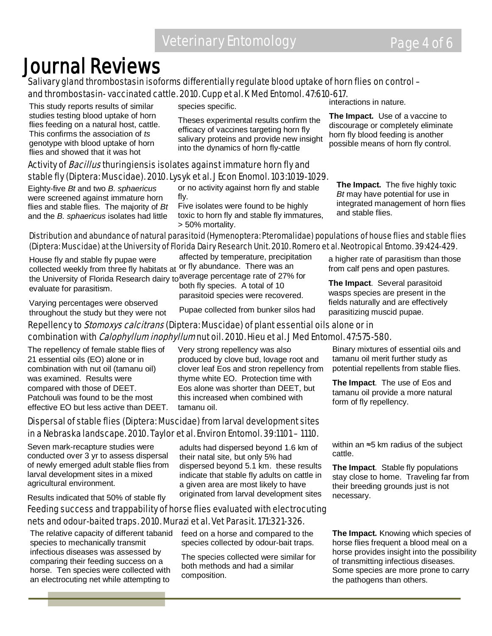### Journal Reviews<br>Salivary gland thrombostasin isoforms differentially regulate blood uptake of horn flies on control – and thrombostasin- vaccinated cattle. 2010. Cupp et al. K Med Entomol. 47:610-617. interactions in nature.

This study reports results of similar studies testing blood uptake of horn flies feeding on a natural host, cattle. This confirms the association of *ts* genotype with blood uptake of horn flies and showed that it was hot

species specific.

Theses experimental results confirm the efficacy of vaccines targeting horn fly salivary proteins and provide new insight into the dynamics of horn fly-cattle

#### Activity of *Bacillus* thuringiensis isolates against immature horn fly and stable fly (Diptera: Muscidae). 2010. Lysyk et al. J Econ Enomol. 103:1019-1029.

Eighty-five *Bt* and two *B. sphaericus* were screened against immature horn flies and stable flies. The majority of *Bt* and the *B. sphaericus* isolates had little

or no activity against horn fly and stable fly.

Five isolates were found to be highly toxic to horn fly and stable fly immatures, > 50% mortality.

**The Impact.** The five highly toxic *Bt* may have potential for use in integrated management of horn flies and stable flies.

**The Impact.** Use of a vaccine to discourage or completely eliminate horn fly blood feeding is another possible means of horn fly control.

#### Distribution and abundance of natural parasitoid (Hymenoptera: Pteromalidae) populations of house flies and stable flies (Diptera: Muscidae) at the University of Florida Dairy Research Unit. 2010. Romero et al. Neotropical Entomo. 39:424-429.

House fly and stable fly pupae were collected weekly from three fly habitats at <sup>or fly</sup> abundance. There was an the University of Florida Research dairy to average percentage rate of 27% for evaluate for parasitism.

affected by temperature, precipitation both fly species. A total of 10 parasitoid species were recovered.

Varying percentages were observed throughout the study but they were not

Pupae collected from bunker silos had

#### a higher rate of parasitism than those from calf pens and open pastures.

**The Impact**. Several parasitoid wasps species are present in the fields naturally and are effectively parasitizing muscid pupae.

#### Repellency to *Stomoxys calcitrans* (Diptera: Muscidae) of plant essential oils alone or in combination with *Calophyllum inophyllum* nut oil. 2010. Hieu et al. J Med Entomol. 47:575-580.

The repellency of female stable flies of 21 essential oils (EO) alone or in combination with nut oil (tamanu oil) was examined. Results were compared with those of DEET. Patchouli was found to be the most effective EO but less active than DEET.

Very strong repellency was also produced by clove bud, lovage root and clover leaf Eos and stron repellency from thyme white EO. Protection time with Eos alone was shorter than DEET, but this increased when combined with tamanu oil.

#### Dispersal of stable flies (Diptera: Muscidae) from larval development sites in a Nebraska landscape. 2010. Taylor et al. Environ Entomol. 39:1101 – 1110.

Seven mark-recapture studies were conducted over 3 yr to assess dispersal of newly emerged adult stable flies from larval development sites in a mixed agricultural environment.

Results indicated that 50% of stable fly

adults had dispersed beyond 1.6 km of their natal site, but only 5% had dispersed beyond 5.1 km. these results indicate that stable fly adults on cattle in a given area are most likely to have originated from larval development sites

#### Feeding success and trappability of horse flies evaluated with electrocuting nets and odour-baited traps. 2010. Murazi et al. Vet Parasit. 171:321-326.

The relative capacity of different tabanid species to mechanically transmit infectious diseases was assessed by comparing their feeding success on a horse. Ten species were collected with an electrocuting net while attempting to

feed on a horse and compared to the species collected by odour-bait traps.

The species collected were similar for both methods and had a similar composition.

Binary mixtures of essential oils and tamanu oil merit further study as potential repellents from stable flies.

**The Impact**. The use of Eos and tamanu oil provide a more natural form of fly repellency.

within an ≈5 km radius of the subject cattle.

**The Impact**. Stable fly populations stay close to home. Traveling far from their breeding grounds just is not necessary.

**The Impact.** Knowing which species of horse flies frequent a blood meal on a horse provides insight into the possibility of transmitting infectious diseases. Some species are more prone to carry the pathogens than others.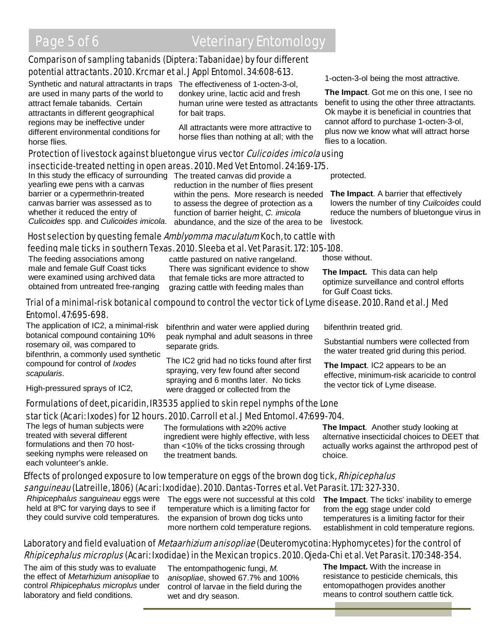#### Comparison of sampling tabanids (Diptera: Tabanidae) by four different potential attractants. 2010. Krcmar et al. J Appl Entomol. 34:608-613.

Synthetic and natural attractants in traps The effectiveness of 1-octen-3-ol, are used in many parts of the world to attract female tabanids. Certain attractants in different geographical regions may be ineffective under different environmental conditions for horse flies.

donkey urine, lactic acid and fresh human urine were tested as attractants for bait traps.

All attractants were more attractive to horse flies than nothing at all; with the

### Protection of livestock against bluetongue virus vector *Culicoides imicola* using

#### insecticide-treated netting in open areas. 2010. Med Vet Entomol. 24:169-175.

In this study the efficacy of surrounding The treated canvas did provide a yearling ewe pens with a canvas barrier or a cypermethrin-treated canvas barrier was assessed as to whether it reduced the entry of *Culicoides* spp. and *Culicoides imicola*.

reduction in the number of flies present within the pens. More research is needed to assess the degree of protection as a function of barrier height, *C. imicola* abundance, and the size of the area to be

1-octen-3-ol being the most attractive.

**The Impact**. Got me on this one, I see no benefit to using the other three attractants. Ok maybe it is beneficial in countries that cannot afford to purchase 1-octen-3-ol, plus now we know what will attract horse flies to a location.

protected.

**The Impact**. A barrier that effectively lowers the number of tiny *Cuilcoides* could reduce the numbers of bluetongue virus in livestock.

#### Host selection by questing female Amblyomma maculatum Koch, to cattle with feeding male ticks in southern Texas. 2010. Sleeba et al. Vet Parasit. 172: 105-108.

The feeding associations among male and female Gulf Coast ticks were examined using archived data obtained from untreated free-ranging

cattle pastured on native rangeland. There was significant evidence to show that female ticks are more attracted to grazing cattle with feeding males than

those without.

**The Impact.** This data can help optimize surveillance and control efforts for Gulf Coast ticks.

#### Trial of a minimal-risk botanical compound to control the vector tick of Lyme disease. 2010. Rand et al. J Med Entomol. 47:695-698.

bifenthrin and water were applied during peak nymphal and adult seasons in three

The IC2 grid had no ticks found after first spraying, very few found after second spraying and 6 months later. No ticks were dragged or collected from the

The application of IC2, a minimal-risk botanical compound containing 10% rosemary oil, was compared to bifenthrin, a commonly used synthetic compound for control of *Ixodes scapularis*.

High-pressured sprays of IC2,

#### Formulations of deet, picaridin, IR3535 applied to skin repel nymphs of the Lone star tick (Acari: Ixodes) for 12 hours. 2010. Carroll et al. J Med Entomol. 47:699-704.

separate grids.

The legs of human subjects were treated with several different formulations and then 70 hostseeking nymphs were released on each volunteer's ankle.

The formulations with ≥20% active ingredient were highly effective, with less than <10% of the ticks crossing through the treatment bands.

bifenthrin treated grid.

Substantial numbers were collected from the water treated grid during this period.

**The Impact**. IC2 appears to be an effective, minimum-risk acaricide to control the vector tick of Lyme disease.

**The Impact**. Another study looking at alternative insecticidal choices to DEET that actually works against the arthropod pest of choice.

#### Effects of prolonged exposure to low temperature on eggs of the brown dog tick, *Rhipicephalus sanguineau* (Latreille, 1806) (Acari: Ixodidae). 2010. Dantas-Torres et al. Vet Parasit. 171: 327-330.

*Rhipicephalus sanguineau* eggs were held at 8ºC for varying days to see if they could survive cold temperatures. The eggs were not successful at this cold temperature which is a limiting factor for the expansion of brown dog ticks unto more northern cold temperature regions.

**The Impact**. The ticks' inability to emerge from the egg stage under cold temperatures is a limiting factor for their establishment in cold temperature regions.

#### Laboratory and field evaluation of *Metaarhizium anisopliae* (Deuteromycotina: Hyphomycetes) for the control of Rhipicephalus microplus (Acari: Ixodidae) in the Mexican tropics. 2010. Ojeda-Chi et al. Vet Parasit. 170:348-354.

The aim of this study was to evaluate the effect of *Metarhizium anisopliae* to control *Rhipicephalus microplus* under laboratory and field conditions.

The entompathogenic fungi, *M. anisopliae*, showed 67.7% and 100% control of larvae in the field during the wet and dry season.

**The Impact.** With the increase in resistance to pesticide chemicals, this entomopathogen provides another means to control southern cattle tick.